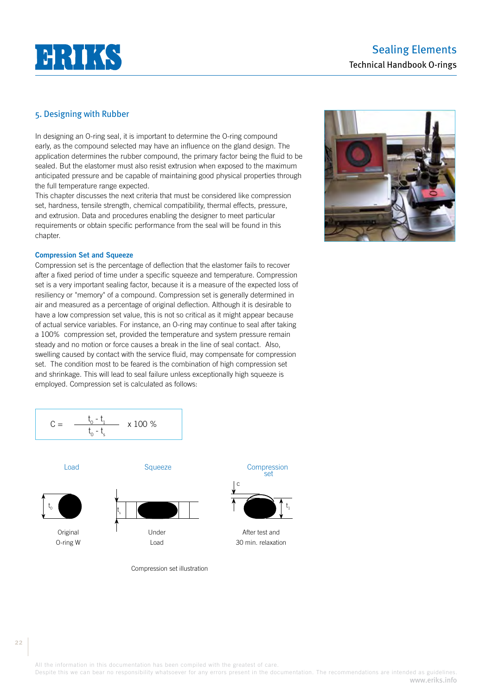# $H H K$

# Sealing Elements Technical Handbook O-rings

# 5. Designing with Rubber

In designing an O-ring seal, it is important to determine the O-ring compound early, as the compound selected may have an influence on the gland design. The application determines the rubber compound, the primary factor being the fluid to be sealed. But the elastomer must also resist extrusion when exposed to the maximum anticipated pressure and be capable of maintaining good physical properties through the full temperature range expected.

This chapter discusses the next criteria that must be considered like compression set, hardness, tensile strength, chemical compatibility, thermal effects, pressure, and extrusion. Data and procedures enabling the designer to meet particular requirements or obtain specific performance from the seal will be found in this chapter.

### **Compression Set and Squeeze**

Compression set is the percentage of deflection that the elastomer fails to recover after a fixed period of time under a specific squeeze and temperature. Compression set is a very important sealing factor, because it is a measure of the expected loss of resiliency or "memory" of a compound. Compression set is generally determined in air and measured as a percentage of original deflection. Although it is desirable to have a low compression set value, this is not so critical as it might appear because of actual service variables. For instance, an O-ring may continue to seal after taking a 100% compression set, provided the temperature and system pressure remain steady and no motion or force causes a break in the line of seal contact. Also, swelling caused by contact with the service fluid, may compensate for compression set. The condition most to be feared is the combination of high compression set and shrinkage. This will lead to seal failure unless exceptionally high squeeze is employed. Compression set is calculated as follows:



 $C =$ 0  $-t_1$ t 0  $-t_{\rm s}$ x 100 %



Compression set illustration

#### 22

t

All the information in this documentation has been compiled with the greatest of care.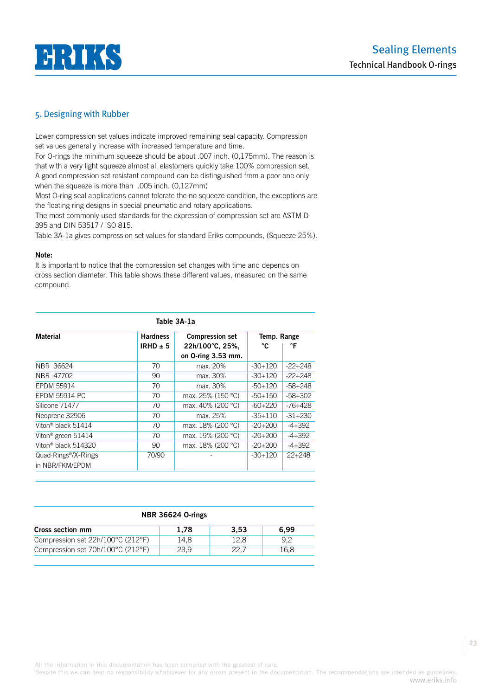

Lower compression set values indicate improved remaining seal capacity. Compression set values generally increase with increased temperature and time.

For O-rings the minimum squeeze should be about .007 inch. (0,175mm). The reason is that with a very light squeeze almost all elastomers quickly take 100% compression set. A good compression set resistant compound can be distinguished from a poor one only when the squeeze is more than .005 inch. (0,127mm)

Most O-ring seal applications cannot tolerate the no squeeze condition, the exceptions are the floating ring designs in special pneumatic and rotary applications.

The most commonly used standards for the expression of compression set are ASTM D 395 and DIN 53517 / ISO 815.

Table 3A-1a gives compression set values for standard Eriks compounds, (Squeeze 25%).

# **Note:**

It is important to notice that the compression set changes with time and depends on cross section diameter. This table shows these different values, measured on the same compound.

| Table 3A-1a                                         |                                 |                                                                 |                  |           |
|-----------------------------------------------------|---------------------------------|-----------------------------------------------------------------|------------------|-----------|
| <b>Material</b>                                     | <b>Hardness</b><br>IRHD $\pm$ 5 | <b>Compression set</b><br>22h/100°C, 25%,<br>on O-ring 3.53 mm. | Temp. Range<br>℃ | °F        |
| NBR 36624                                           | 70                              | max. 20%                                                        | $-30+120$        | $-22+248$ |
| NBR 47702                                           | 90                              | max. 30%                                                        | $-30+120$        | $-22+248$ |
| <b>EPDM 55914</b>                                   | 70                              | max. 30%                                                        | $-50+120$        | $-58+248$ |
| <b>EPDM 55914 PC</b>                                | 70                              | max. 25% (150 °C)                                               | $-50+150$        | $-58+302$ |
| Silicone 71477                                      | 70                              | max. 40% (200 °C)                                               | $-60+220$        | $-76+428$ |
| Neoprene 32906                                      | 70                              | max. 25%                                                        | $-35+110$        | $-31+230$ |
| Viton® black 51414                                  | 70                              | max. 18% (200 °C)                                               | $-20+200$        | $-4+392$  |
| Viton <sup>®</sup> green 51414                      | 70                              | max. 19% (200 °C)                                               | $-20+200$        | $-4+392$  |
| Viton® black 514320                                 | 90                              | max. 18% (200 °C)                                               | $-20+200$        | $-4+392$  |
| Quad-Rings <sup>®</sup> /X-Rings<br>in NBR/FKM/EPDM | 70/90                           |                                                                 | $-30+120$        | $22+248$  |

| <b>NBR 36624 O-rings</b>          |      |      |      |
|-----------------------------------|------|------|------|
| Cross section mm                  | 1.78 | 3.53 | 6.99 |
| Compression set 22h/100°C (212°F) | 14.8 | 12.8 | 9.2  |
| Compression set 70h/100°C (212°F) | 23.9 | 22.7 | 16.8 |

All the information in this documentation has been compiled with the greatest of care.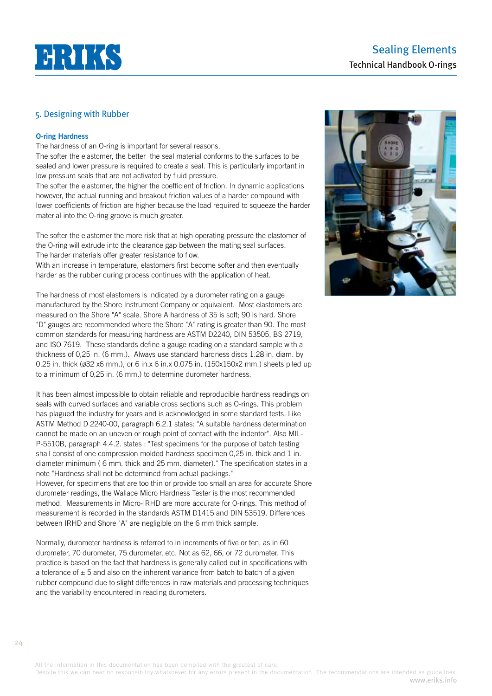

# **O-ring Hardness**

The hardness of an O-ring is important for several reasons.

The softer the elastomer, the better the seal material conforms to the surfaces to be sealed and lower pressure is required to create a seal. This is particularly important in low pressure seals that are not activated by fluid pressure.

The softer the elastomer, the higher the coefficient of friction. In dynamic applications however, the actual running and breakout friction values of a harder compound with lower coefficients of friction are higher because the load required to squeeze the harder material into the O-ring groove is much greater.

The softer the elastomer the more risk that at high operating pressure the elastomer of the O-ring will extrude into the clearance gap between the mating seal surfaces. The harder materials offer greater resistance to flow.

With an increase in temperature, elastomers first become softer and then eventually harder as the rubber curing process continues with the application of heat.

The hardness of most elastomers is indicated by a durometer rating on a gauge manufactured by the Shore Instrument Company or equivalent. Most elastomers are measured on the Shore "A" scale. Shore A hardness of 35 is soft; 90 is hard. Shore "D" gauges are recommended where the Shore "A" rating is greater than 90. The most common standards for measuring hardness are ASTM D2240, DIN 53505, BS 2719, and ISO 7619. These standards define a gauge reading on a standard sample with a thickness of 0,25 in. (6 mm.). Always use standard hardness discs 1.28 in. diam. by 0,25 in. thick (ø32 x6 mm.), or 6 in.x 6 in.x 0.075 in. (150x150x2 mm.) sheets piled up to a minimum of 0,25 in. (6 mm.) to determine durometer hardness.

It has been almost impossible to obtain reliable and reproducible hardness readings on seals with curved surfaces and variable cross sections such as O-rings. This problem has plagued the industry for years and is acknowledged in some standard tests. Like ASTM Method D 2240-00, paragraph 6.2.1 states: "A suitable hardness determination cannot be made on an uneven or rough point of contact with the indentor". Also MIL-P-5510B, paragraph 4.4.2. states : "Test specimens for the purpose of batch testing shall consist of one compression molded hardness specimen 0,25 in. thick and 1 in. diameter minimum ( 6 mm. thick and 25 mm. diameter)." The specification states in a note "Hardness shall not be determined from actual packings."

However, for specimens that are too thin or provide too small an area for accurate Shore durometer readings, the Wallace Micro Hardness Tester is the most recommended method. Measurements in Micro-IRHD are more accurate for O-rings. This method of measurement is recorded in the standards ASTM D1415 and DIN 53519. Differences between IRHD and Shore "A" are negligible on the 6 mm thick sample.

Normally, durometer hardness is referred to in increments of five or ten, as in 60 durometer, 70 durometer, 75 durometer, etc. Not as 62, 66, or 72 durometer. This practice is based on the fact that hardness is generally called out in specifications with a tolerance of  $\pm$  5 and also on the inherent variance from batch to batch of a given rubber compound due to slight differences in raw materials and processing techniques and the variability encountered in reading durometers.



All the information in this documentation has been compiled with the greatest of care.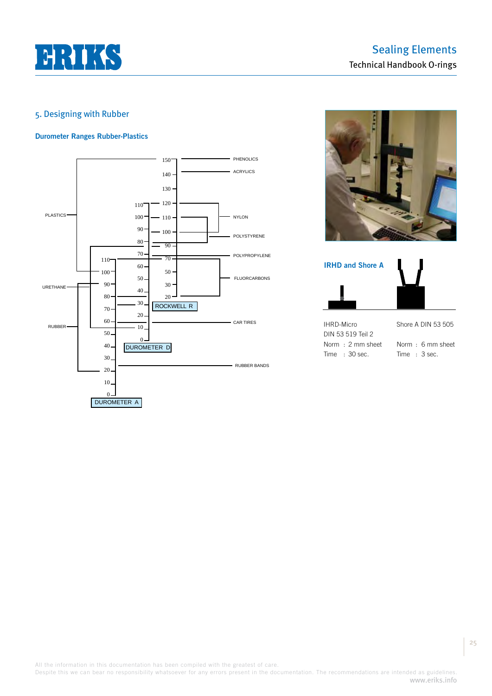

# **Durometer Ranges Rubber-Plastics**







All the information in this documentation has been compiled with the greatest of care.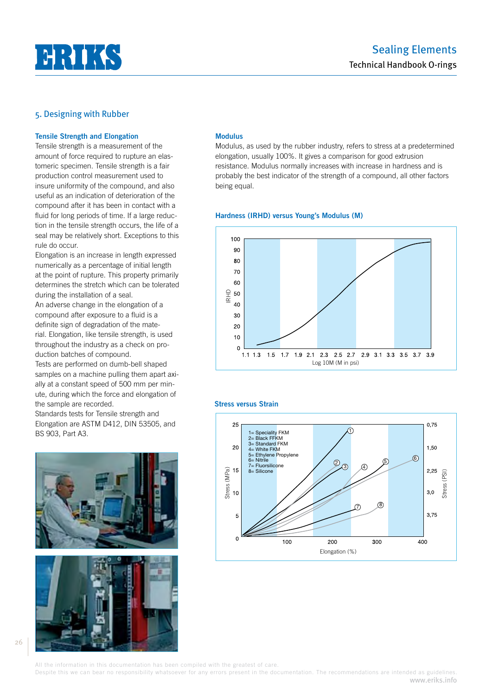

#### **Tensile Strength and Elongation**

Tensile strength is a measurement of the amount of force required to rupture an elastomeric specimen. Tensile strength is a fair production control measurement used to insure uniformity of the compound, and also useful as an indication of deterioration of the compound after it has been in contact with a fluid for long periods of time. If a large reduction in the tensile strength occurs, the life of a seal may be relatively short. Exceptions to this rule do occur.

Elongation is an increase in length expressed numerically as a percentage of initial length at the point of rupture. This property primarily determines the stretch which can be tolerated during the installation of a seal.

An adverse change in the elongation of a compound after exposure to a fluid is a definite sign of degradation of the material. Elongation, like tensile strength, is used throughout the industry as a check on production batches of compound.

Tests are performed on dumb-bell shaped samples on a machine pulling them apart axially at a constant speed of 500 mm per minute, during which the force and elongation of the sample are recorded.

Standards tests for Tensile strength and Elongation are ASTM D412, DIN 53505, and BS 903, Part A3.





### **Modulus**

Modulus, as used by the rubber industry, refers to stress at a predetermined elongation, usually 100%. It gives a comparison for good extrusion resistance. Modulus normally increases with increase in hardness and is probably the best indicator of the strength of a compound, all other factors being equal.

#### **Hardness (IRHD) versus Young's Modulus (M)**



# **Stress versus Strain**



All the information in this documentation has been compiled with the greatest of care.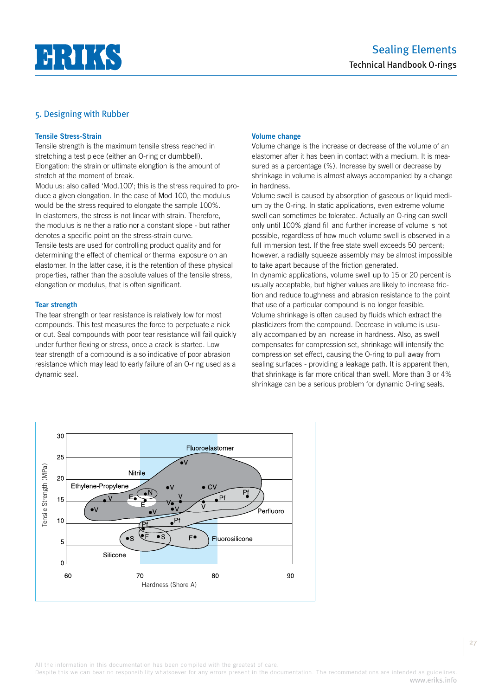

# **Tensile Stress-Strain**

Tensile strength is the maximum tensile stress reached in stretching a test piece (either an O-ring or dumbbell). Elongation: the strain or ultimate elongtion is the amount of stretch at the moment of break.

Modulus: also called 'Mod.100'; this is the stress required to produce a given elongation. In the case of Mod 100, the modulus would be the stress required to elongate the sample 100%. In elastomers, the stress is not linear with strain. Therefore, the modulus is neither a ratio nor a constant slope - but rather denotes a specific point on the stress-strain curve.

Tensile tests are used for controlling product quality and for determining the effect of chemical or thermal exposure on an elastomer. In the latter case, it is the retention of these physical properties, rather than the absolute values of the tensile stress, elongation or modulus, that is often significant.

# **Tear strength**

The tear strength or tear resistance is relatively low for most compounds. This test measures the force to perpetuate a nick or cut. Seal compounds with poor tear resistance will fail quickly under further flexing or stress, once a crack is started. Low tear strength of a compound is also indicative of poor abrasion resistance which may lead to early failure of an O-ring used as a dynamic seal.

# **Volume change**

Volume change is the increase or decrease of the volume of an elastomer after it has been in contact with a medium. It is measured as a percentage (%). Increase by swell or decrease by shrinkage in volume is almost always accompanied by a change in hardness.

Volume swell is caused by absorption of gaseous or liquid medium by the O-ring. In static applications, even extreme volume swell can sometimes be tolerated. Actually an O-ring can swell only until 100% gland fill and further increase of volume is not possible, regardless of how much volume swell is observed in a full immersion test. If the free state swell exceeds 50 percent; however, a radially squeeze assembly may be almost impossible to take apart because of the friction generated.

In dynamic applications, volume swell up to 15 or 20 percent is usually acceptable, but higher values are likely to increase friction and reduce toughness and abrasion resistance to the point that use of a particular compound is no longer feasible. Volume shrinkage is often caused by fluids which extract the plasticizers from the compound. Decrease in volume is usually accompanied by an increase in hardness. Also, as swell compensates for compression set, shrinkage will intensify the compression set effect, causing the O-ring to pull away from sealing surfaces - providing a leakage path. It is apparent then, that shrinkage is far more critical than swell. More than 3 or 4% shrinkage can be a serious problem for dynamic O-ring seals.



All the information in this documentation has been compiled with the greatest of care.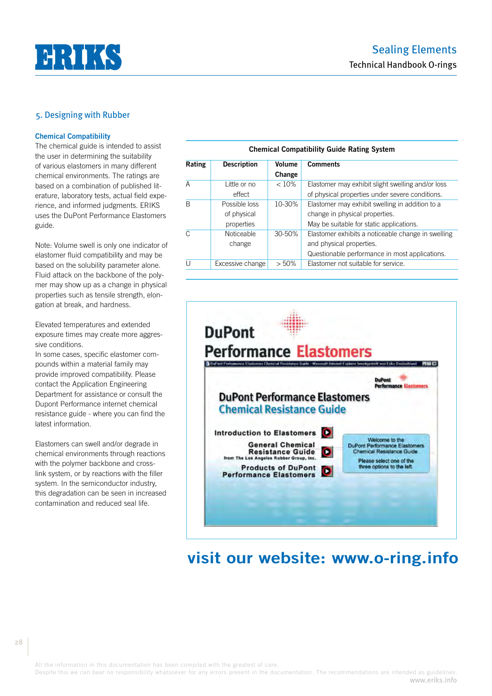

#### **Chemical Compatibility**

The chemical guide is intended to assist the user in determining the suitability of various elastomers in many different chemical environments. The ratings are based on a combination of published literature, laboratory tests, actual field experience, and informed judgments. ERIKS uses the DuPont Performance Elastomers guide.

Note: Volume swell is only one indicator of elastomer fluid compatibility and may be based on the solubility parameter alone. Fluid attack on the backbone of the polymer may show up as a change in physical properties such as tensile strength, elongation at break, and hardness.

Elevated temperatures and extended exposure times may create more aggressive conditions.

In some cases, specific elastomer compounds within a material family may provide improved compatibility. Please contact the Application Engineering Department for assistance or consult the Dupont Performance internet chemical resistance guide - where you can find the latest information.

Elastomers can swell and/or degrade in chemical environments through reactions with the polymer backbone and crosslink system, or by reactions with the filler system. In the semiconductor industry, this degradation can be seen in increased contamination and reduced seal life.

| <b>Chemical Compatibility Guide Rating System</b> |                                            |                  |                                                                                                                                  |
|---------------------------------------------------|--------------------------------------------|------------------|----------------------------------------------------------------------------------------------------------------------------------|
| Rating                                            | <b>Description</b>                         | Volume<br>Change | <b>Comments</b>                                                                                                                  |
| A                                                 | Little or no<br>effect                     | < 10%            | Elastomer may exhibit slight swelling and/or loss<br>of physical properties under severe conditions.                             |
| B                                                 | Possible loss<br>of physical<br>properties | 10-30%           | Elastomer may exhibit swelling in addition to a<br>change in physical properties.<br>May be suitable for static applications.    |
| C                                                 | <b>Noticeable</b><br>change                | $30 - 50%$       | Elastomer exhibits a noticeable change in swelling<br>and physical properties.<br>Questionable performance in most applications. |
| U                                                 | Excessive change                           | $>50\%$          | Elastomer not suitable for service.                                                                                              |



# **visit our website: www.o-ring.info**

All the information in this documentation has been compiled with the greatest of care.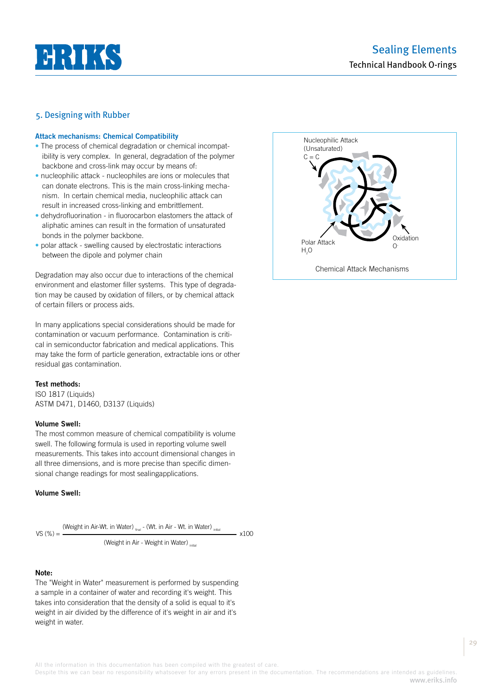

### **Attack mechanisms: Chemical Compatibility**

- The process of chemical degradation or chemical incompatibility is very complex. In general, degradation of the polymer backbone and cross-link may occur by means of:
- nucleophilic attack nucleophiles are ions or molecules that can donate electrons. This is the main cross-linking mechanism. In certain chemical media, nucleophilic attack can result in increased cross-linking and embrittlement.
- dehydrofluorination in fluorocarbon elastomers the attack of aliphatic amines can result in the formation of unsaturated bonds in the polymer backbone.
- polar attack swelling caused by electrostatic interactions between the dipole and polymer chain

Degradation may also occur due to interactions of the chemical environment and elastomer filler systems. This type of degradation may be caused by oxidation of fillers, or by chemical attack of certain fillers or process aids.

In many applications special considerations should be made for contamination or vacuum performance. Contamination is critical in semiconductor fabrication and medical applications. This may take the form of particle generation, extractable ions or other residual gas contamination.

# **Test methods:**

ISO 1817 (Liquids) ASTM D471, D1460, D3137 (Liquids)

#### **Volume Swell:**

The most common measure of chemical compatibility is volume swell. The following formula is used in reporting volume swell measurements. This takes into account dimensional changes in all three dimensions, and is more precise than specific dimensional change readings for most sealingapplications.

# **Volume Swell:**

$$
VS (%) = \frac{(Weight in Air-Wt. in Water)}{Time} - (Wt. in Air - Wt. in Water)}{N}
$$

(Weight in Air - Weight in Water) initial

### **Note:**

The "Weight in Water" measurement is performed by suspending a sample in a container of water and recording it's weight. This takes into consideration that the density of a solid is equal to it's weight in air divided by the difference of it's weight in air and it's weight in water.



All the information in this documentation has been compiled with the greatest of care.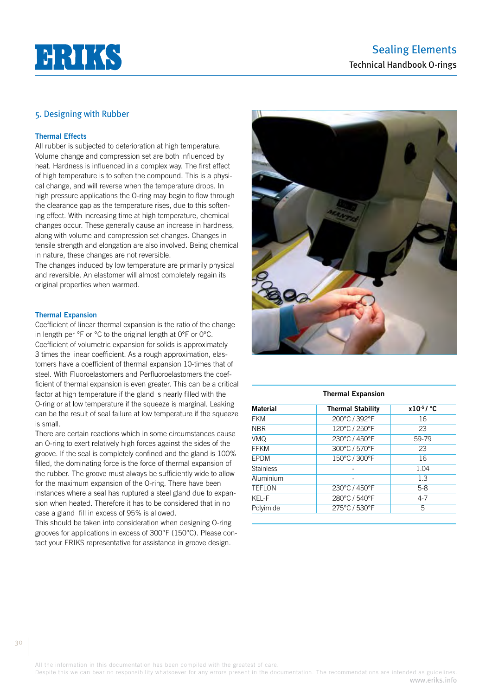# **HRIKS**

# 5. Designing with Rubber

# **Thermal Effects**

All rubber is subjected to deterioration at high temperature. Volume change and compression set are both influenced by heat. Hardness is influenced in a complex way. The first effect of high temperature is to soften the compound. This is a physical change, and will reverse when the temperature drops. In high pressure applications the O-ring may begin to flow through the clearance gap as the temperature rises, due to this softening effect. With increasing time at high temperature, chemical changes occur. These generally cause an increase in hardness, along with volume and compression set changes. Changes in tensile strength and elongation are also involved. Being chemical in nature, these changes are not reversible.

The changes induced by low temperature are primarily physical and reversible. An elastomer will almost completely regain its original properties when warmed.

#### **Thermal Expansion**

Coefficient of linear thermal expansion is the ratio of the change in length per °F or °C to the original length at 0°F or 0°C. Coefficient of volumetric expansion for solids is approximately 3 times the linear coefficient. As a rough approximation, elastomers have a coefficient of thermal expansion 10-times that of steel. With Fluoroelastomers and Perfluoroelastomers the coefficient of thermal expansion is even greater. This can be a critical factor at high temperature if the gland is nearly filled with the O-ring or at low temperature if the squeeze is marginal. Leaking can be the result of seal failure at low temperature if the squeeze is small.

There are certain reactions which in some circumstances cause an O-ring to exert relatively high forces against the sides of the groove. If the seal is completely confined and the gland is 100% filled, the dominating force is the force of thermal expansion of the rubber. The groove must always be sufficiently wide to allow for the maximum expansion of the O-ring. There have been instances where a seal has ruptured a steel gland due to expansion when heated. Therefore it has to be considered that in no case a gland fill in excess of 95% is allowed.

This should be taken into consideration when designing O-ring grooves for applications in excess of 300°F (150°C). Please contact your ERIKS representative for assistance in groove design.



#### **Thermal Expansion**

| <b>Material</b>  | <b>Thermal Stability</b> | $x10^{-5}$ / °C |
|------------------|--------------------------|-----------------|
| <b>FKM</b>       | 200°C / 392°F            | 16              |
| <b>NBR</b>       | 120°C / 250°F            | 23              |
| <b>VMQ</b>       | 230°C / 450°F            | 59-79           |
| <b>FFKM</b>      | 300°C / 570°F            | 23              |
| <b>EPDM</b>      | 150°C / 300°F            | 16              |
| <b>Stainless</b> |                          | 1.04            |
| Aluminium        |                          | 1.3             |
| <b>TEFLON</b>    | 230°C / 450°F            | $5-8$           |
| KEL-F            | 280°C / 540°F            | $4 - 7$         |
| Polyimide        | 275°C / 530°F            | 5               |

All the information in this documentation has been compiled with the greatest of care.